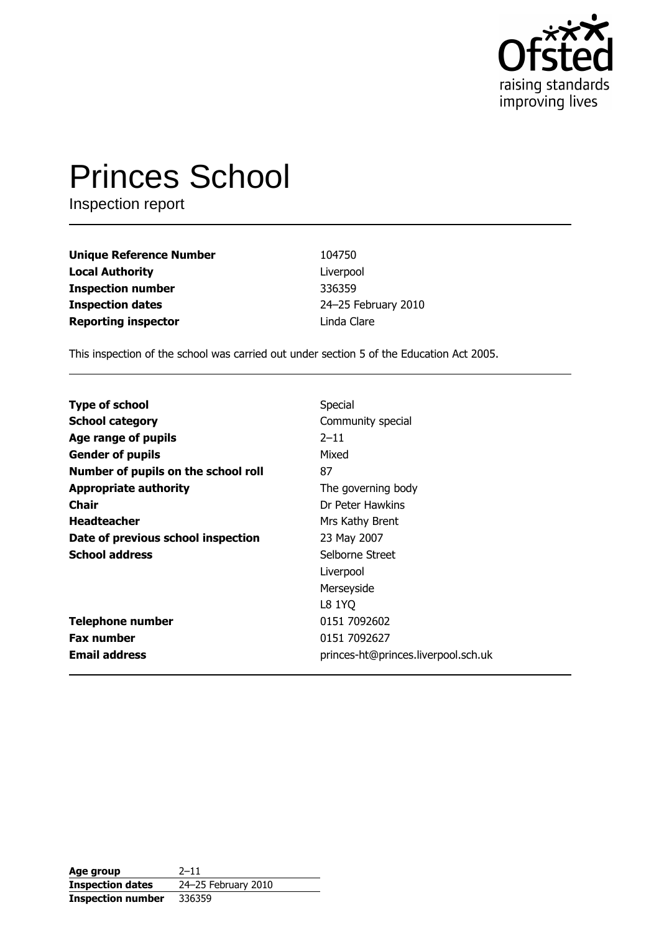

# **Princes School**

Inspection report

| <b>Unique Reference Number</b> | 104750              |
|--------------------------------|---------------------|
| <b>Local Authority</b>         | Liverpool           |
| <b>Inspection number</b>       | 336359              |
| <b>Inspection dates</b>        | 24-25 February 2010 |
| <b>Reporting inspector</b>     | Linda Clare         |

This inspection of the school was carried out under section 5 of the Education Act 2005.

| <b>Type of school</b>               | Special                             |
|-------------------------------------|-------------------------------------|
| <b>School category</b>              | Community special                   |
| Age range of pupils                 | $2 - 11$                            |
| <b>Gender of pupils</b>             | Mixed                               |
| Number of pupils on the school roll | 87                                  |
| <b>Appropriate authority</b>        | The governing body                  |
| <b>Chair</b>                        | Dr Peter Hawkins                    |
| <b>Headteacher</b>                  | Mrs Kathy Brent                     |
| Date of previous school inspection  | 23 May 2007                         |
| <b>School address</b>               | Selborne Street                     |
|                                     | Liverpool                           |
|                                     | Merseyside                          |
|                                     | L8 1YQ                              |
| <b>Telephone number</b>             | 0151 7092602                        |
| <b>Fax number</b>                   | 0151 7092627                        |
| <b>Email address</b>                | princes-ht@princes.liverpool.sch.uk |

| Age group                | $2 - 11$            |
|--------------------------|---------------------|
| <b>Inspection dates</b>  | 24-25 February 2010 |
| <b>Inspection number</b> | 336359              |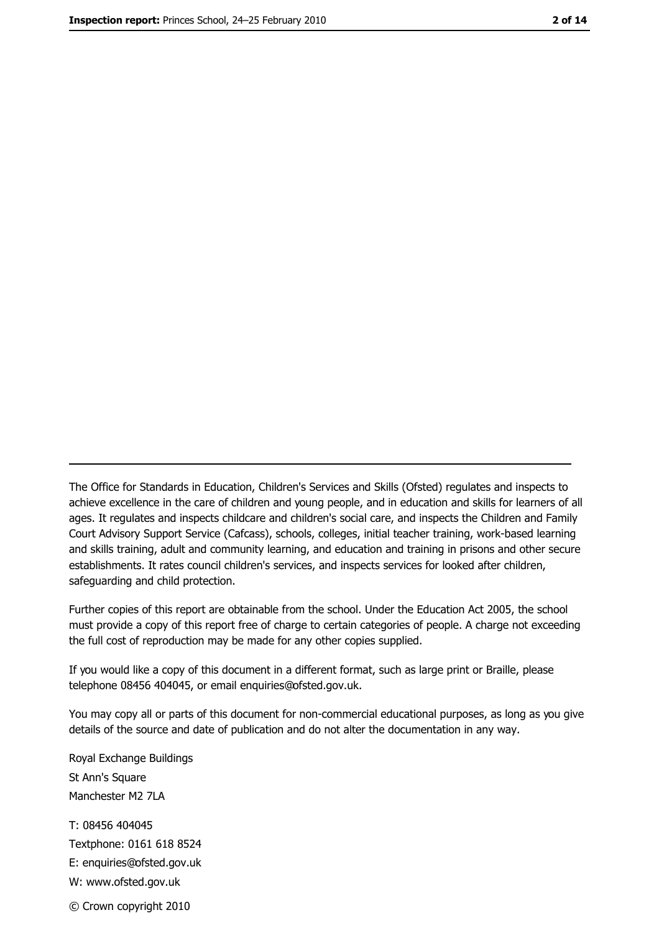The Office for Standards in Education, Children's Services and Skills (Ofsted) regulates and inspects to achieve excellence in the care of children and young people, and in education and skills for learners of all ages. It regulates and inspects childcare and children's social care, and inspects the Children and Family Court Advisory Support Service (Cafcass), schools, colleges, initial teacher training, work-based learning and skills training, adult and community learning, and education and training in prisons and other secure establishments. It rates council children's services, and inspects services for looked after children, safequarding and child protection.

Further copies of this report are obtainable from the school. Under the Education Act 2005, the school must provide a copy of this report free of charge to certain categories of people. A charge not exceeding the full cost of reproduction may be made for any other copies supplied.

If you would like a copy of this document in a different format, such as large print or Braille, please telephone 08456 404045, or email enquiries@ofsted.gov.uk.

You may copy all or parts of this document for non-commercial educational purposes, as long as you give details of the source and date of publication and do not alter the documentation in any way.

Royal Exchange Buildings St Ann's Square Manchester M2 7LA T: 08456 404045 Textphone: 0161 618 8524 E: enquiries@ofsted.gov.uk W: www.ofsted.gov.uk © Crown copyright 2010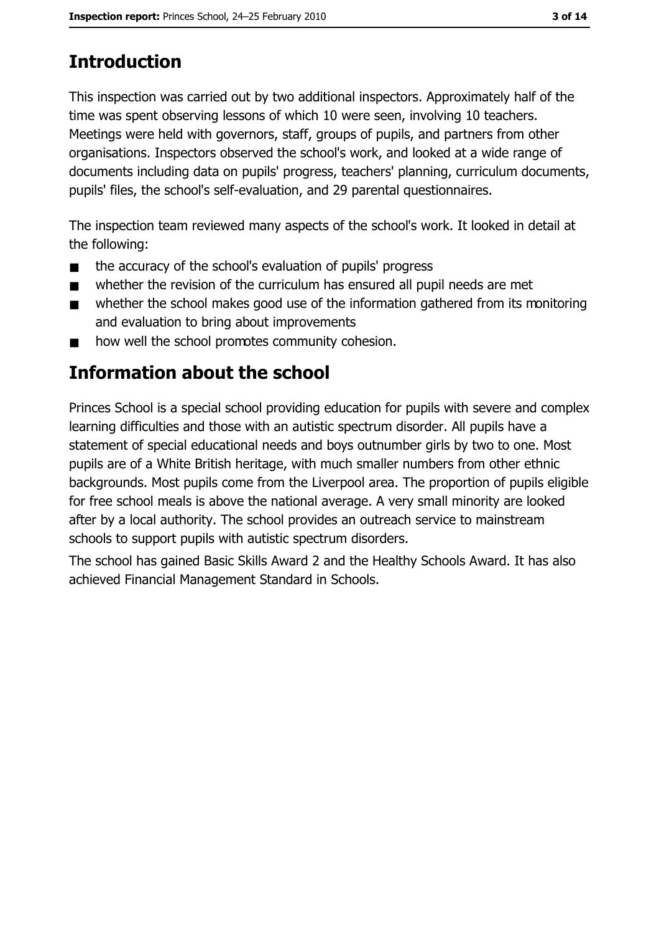# **Introduction**

This inspection was carried out by two additional inspectors. Approximately half of the time was spent observing lessons of which 10 were seen, involving 10 teachers. Meetings were held with governors, staff, groups of pupils, and partners from other organisations. Inspectors observed the school's work, and looked at a wide range of documents including data on pupils' progress, teachers' planning, curriculum documents, pupils' files, the school's self-evaluation, and 29 parental questionnaires.

The inspection team reviewed many aspects of the school's work. It looked in detail at the following:

- the accuracy of the school's evaluation of pupils' progress  $\blacksquare$
- whether the revision of the curriculum has ensured all pupil needs are met  $\blacksquare$
- whether the school makes good use of the information gathered from its monitoring  $\blacksquare$ and evaluation to bring about improvements
- how well the school promotes community cohesion.  $\blacksquare$

# Information about the school

Princes School is a special school providing education for pupils with severe and complex learning difficulties and those with an autistic spectrum disorder. All pupils have a statement of special educational needs and boys outnumber girls by two to one. Most pupils are of a White British heritage, with much smaller numbers from other ethnic backgrounds. Most pupils come from the Liverpool area. The proportion of pupils eligible for free school meals is above the national average. A very small minority are looked after by a local authority. The school provides an outreach service to mainstream schools to support pupils with autistic spectrum disorders.

The school has gained Basic Skills Award 2 and the Healthy Schools Award. It has also achieved Financial Management Standard in Schools.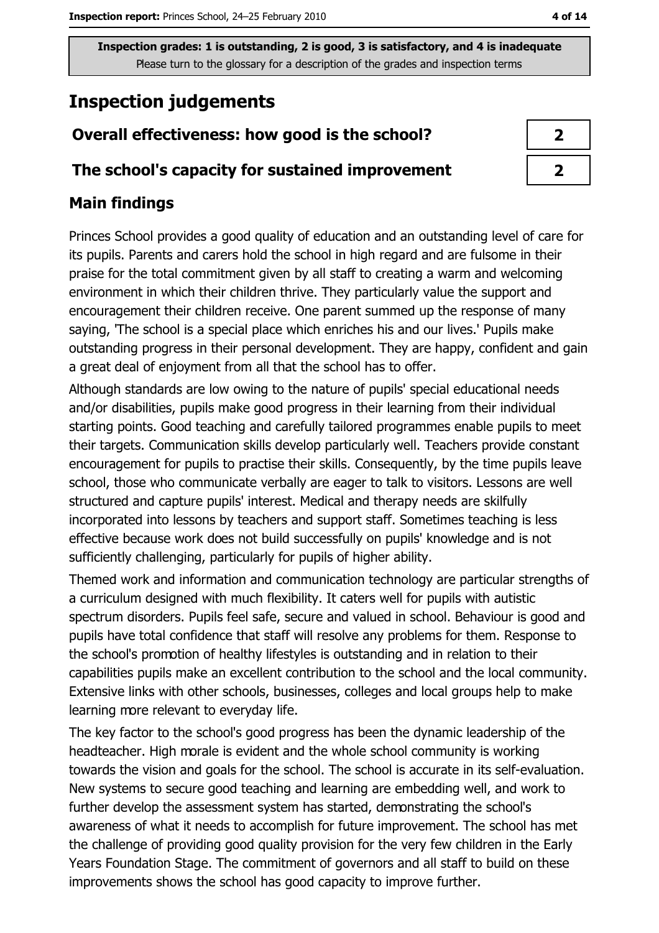# **Inspection judgements**

## Overall effectiveness: how good is the school?

#### The school's capacity for sustained improvement

## **Main findings**

Princes School provides a good quality of education and an outstanding level of care for its pupils. Parents and carers hold the school in high regard and are fulsome in their praise for the total commitment given by all staff to creating a warm and welcoming environment in which their children thrive. They particularly value the support and encouragement their children receive. One parent summed up the response of many saying, 'The school is a special place which enriches his and our lives.' Pupils make outstanding progress in their personal development. They are happy, confident and gain a great deal of enjoyment from all that the school has to offer.

Although standards are low owing to the nature of pupils' special educational needs and/or disabilities, pupils make good progress in their learning from their individual starting points. Good teaching and carefully tailored programmes enable pupils to meet their targets. Communication skills develop particularly well. Teachers provide constant encouragement for pupils to practise their skills. Consequently, by the time pupils leave school, those who communicate verbally are eager to talk to visitors. Lessons are well structured and capture pupils' interest. Medical and therapy needs are skilfully incorporated into lessons by teachers and support staff. Sometimes teaching is less effective because work does not build successfully on pupils' knowledge and is not sufficiently challenging, particularly for pupils of higher ability.

Themed work and information and communication technology are particular strengths of a curriculum designed with much flexibility. It caters well for pupils with autistic spectrum disorders. Pupils feel safe, secure and valued in school. Behaviour is good and pupils have total confidence that staff will resolve any problems for them. Response to the school's promotion of healthy lifestyles is outstanding and in relation to their capabilities pupils make an excellent contribution to the school and the local community. Extensive links with other schools, businesses, colleges and local groups help to make learning more relevant to everyday life.

The key factor to the school's good progress has been the dynamic leadership of the headteacher. High morale is evident and the whole school community is working towards the vision and goals for the school. The school is accurate in its self-evaluation. New systems to secure good teaching and learning are embedding well, and work to further develop the assessment system has started, demonstrating the school's awareness of what it needs to accomplish for future improvement. The school has met the challenge of providing good quality provision for the very few children in the Early Years Foundation Stage. The commitment of governors and all staff to build on these improvements shows the school has good capacity to improve further.

| Æ |
|---|
|   |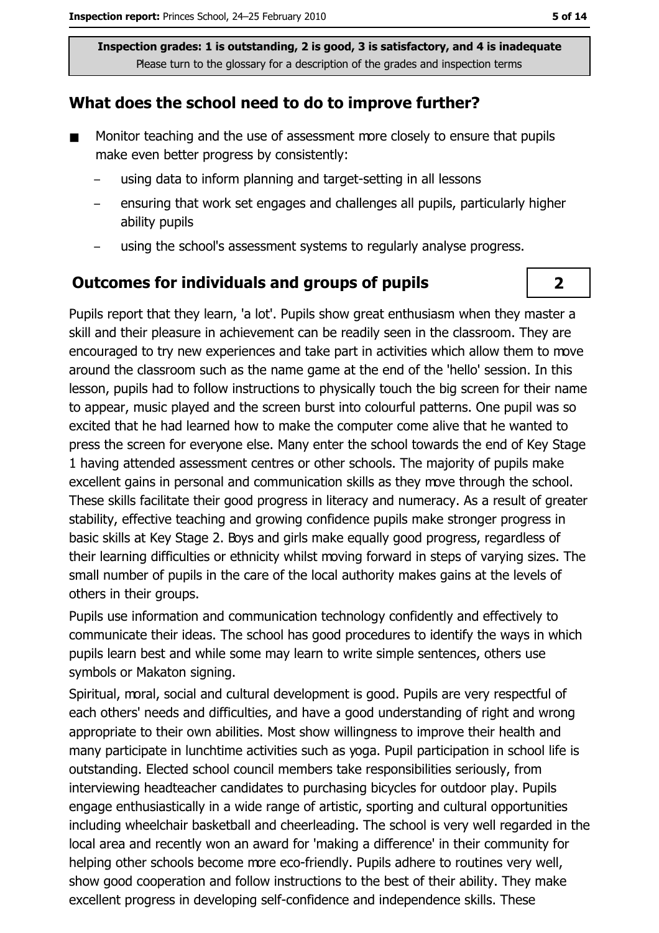#### What does the school need to do to improve further?

- Monitor teaching and the use of assessment more closely to ensure that pupils  $\blacksquare$ make even better progress by consistently:
	- using data to inform planning and target-setting in all lessons
	- ensuring that work set engages and challenges all pupils, particularly higher ability pupils
	- using the school's assessment systems to regularly analyse progress.

#### **Outcomes for individuals and groups of pupils**

Pupils report that they learn, 'a lot'. Pupils show great enthusiasm when they master a skill and their pleasure in achievement can be readily seen in the classroom. They are encouraged to try new experiences and take part in activities which allow them to move around the classroom such as the name game at the end of the 'hello' session. In this lesson, pupils had to follow instructions to physically touch the big screen for their name to appear, music played and the screen burst into colourful patterns. One pupil was so excited that he had learned how to make the computer come alive that he wanted to press the screen for everyone else. Many enter the school towards the end of Key Stage 1 having attended assessment centres or other schools. The majority of pupils make excellent gains in personal and communication skills as they move through the school. These skills facilitate their good progress in literacy and numeracy. As a result of greater stability, effective teaching and growing confidence pupils make stronger progress in basic skills at Key Stage 2. Boys and girls make equally good progress, regardless of their learning difficulties or ethnicity whilst moving forward in steps of varying sizes. The small number of pupils in the care of the local authority makes gains at the levels of others in their groups.

Pupils use information and communication technology confidently and effectively to communicate their ideas. The school has good procedures to identify the ways in which pupils learn best and while some may learn to write simple sentences, others use symbols or Makaton signing.

Spiritual, moral, social and cultural development is good. Pupils are very respectful of each others' needs and difficulties, and have a good understanding of right and wrong appropriate to their own abilities. Most show willingness to improve their health and many participate in lunchtime activities such as yoga. Pupil participation in school life is outstanding. Elected school council members take responsibilities seriously, from interviewing headteacher candidates to purchasing bicycles for outdoor play. Pupils engage enthusiastically in a wide range of artistic, sporting and cultural opportunities including wheelchair basketball and cheerleading. The school is very well regarded in the local area and recently won an award for 'making a difference' in their community for helping other schools become more eco-friendly. Pupils adhere to routines very well, show good cooperation and follow instructions to the best of their ability. They make excellent progress in developing self-confidence and independence skills. These

 $\mathbf{2}$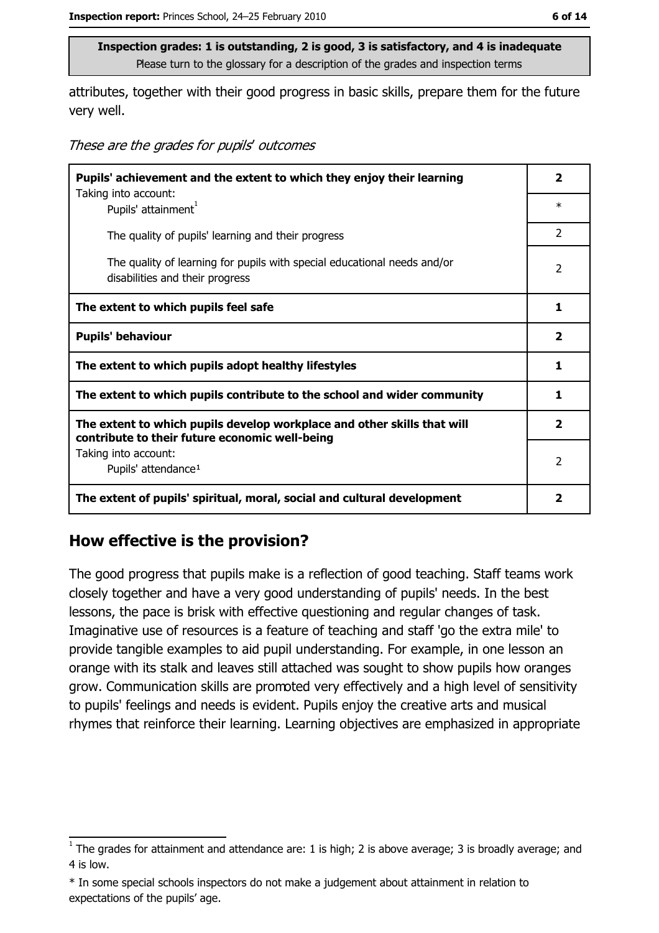attributes, together with their good progress in basic skills, prepare them for the future very well.

These are the grades for pupils' outcomes

| Pupils' achievement and the extent to which they enjoy their learning                                                     |                         |
|---------------------------------------------------------------------------------------------------------------------------|-------------------------|
| Taking into account:<br>Pupils' attainment <sup>1</sup>                                                                   | $\ast$                  |
| The quality of pupils' learning and their progress                                                                        | 2                       |
| The quality of learning for pupils with special educational needs and/or<br>disabilities and their progress               | $\overline{2}$          |
| The extent to which pupils feel safe                                                                                      | 1                       |
| <b>Pupils' behaviour</b>                                                                                                  | $\overline{\mathbf{2}}$ |
| The extent to which pupils adopt healthy lifestyles                                                                       | 1                       |
| The extent to which pupils contribute to the school and wider community                                                   | 1                       |
| The extent to which pupils develop workplace and other skills that will<br>contribute to their future economic well-being | $\mathbf{2}$            |
| Taking into account:<br>Pupils' attendance <sup>1</sup>                                                                   | $\overline{2}$          |
| The extent of pupils' spiritual, moral, social and cultural development                                                   | 2                       |

#### How effective is the provision?

The good progress that pupils make is a reflection of good teaching. Staff teams work closely together and have a very good understanding of pupils' needs. In the best lessons, the pace is brisk with effective questioning and regular changes of task. Imaginative use of resources is a feature of teaching and staff 'go the extra mile' to provide tangible examples to aid pupil understanding. For example, in one lesson an orange with its stalk and leaves still attached was sought to show pupils how oranges grow. Communication skills are promoted very effectively and a high level of sensitivity to pupils' feelings and needs is evident. Pupils enjoy the creative arts and musical rhymes that reinforce their learning. Learning objectives are emphasized in appropriate

 $\frac{1}{1}$  The grades for attainment and attendance are: 1 is high; 2 is above average; 3 is broadly average; and 4 is low.

<sup>\*</sup> In some special schools inspectors do not make a judgement about attainment in relation to expectations of the pupils' age.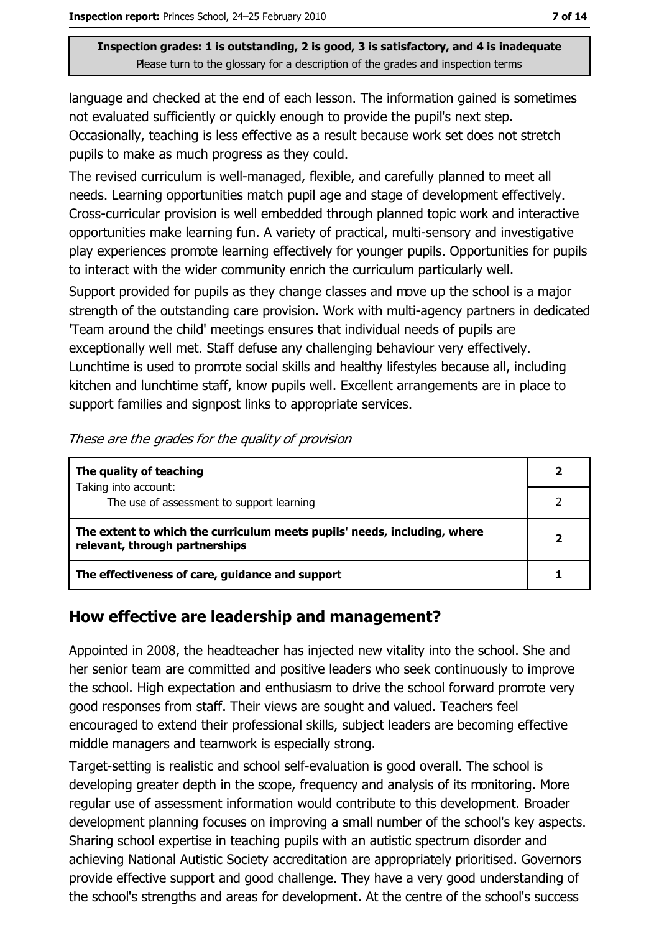language and checked at the end of each lesson. The information gained is sometimes not evaluated sufficiently or quickly enough to provide the pupil's next step. Occasionally, teaching is less effective as a result because work set does not stretch pupils to make as much progress as they could.

The revised curriculum is well-managed, flexible, and carefully planned to meet all needs. Learning opportunities match pupil age and stage of development effectively. Cross-curricular provision is well embedded through planned topic work and interactive opportunities make learning fun. A variety of practical, multi-sensory and investigative play experiences promote learning effectively for younger pupils. Opportunities for pupils to interact with the wider community enrich the curriculum particularly well.

Support provided for pupils as they change classes and move up the school is a major strength of the outstanding care provision. Work with multi-agency partners in dedicated Team around the child' meetings ensures that individual needs of pupils are exceptionally well met. Staff defuse any challenging behaviour very effectively. Lunchtime is used to promote social skills and healthy lifestyles because all, including kitchen and lunchtime staff, know pupils well. Excellent arrangements are in place to support families and signpost links to appropriate services.

| The quality of teaching                                                                                    |  |
|------------------------------------------------------------------------------------------------------------|--|
| Taking into account:<br>The use of assessment to support learning                                          |  |
| The extent to which the curriculum meets pupils' needs, including, where<br>relevant, through partnerships |  |
| The effectiveness of care, guidance and support                                                            |  |

These are the grades for the quality of provision

#### How effective are leadership and management?

Appointed in 2008, the headteacher has injected new vitality into the school. She and her senior team are committed and positive leaders who seek continuously to improve the school. High expectation and enthusiasm to drive the school forward promote very good responses from staff. Their views are sought and valued. Teachers feel encouraged to extend their professional skills, subject leaders are becoming effective middle managers and teamwork is especially strong.

Target-setting is realistic and school self-evaluation is good overall. The school is developing greater depth in the scope, frequency and analysis of its monitoring. More regular use of assessment information would contribute to this development. Broader development planning focuses on improving a small number of the school's key aspects. Sharing school expertise in teaching pupils with an autistic spectrum disorder and achieving National Autistic Society accreditation are appropriately prioritised. Governors provide effective support and good challenge. They have a very good understanding of the school's strengths and areas for development. At the centre of the school's success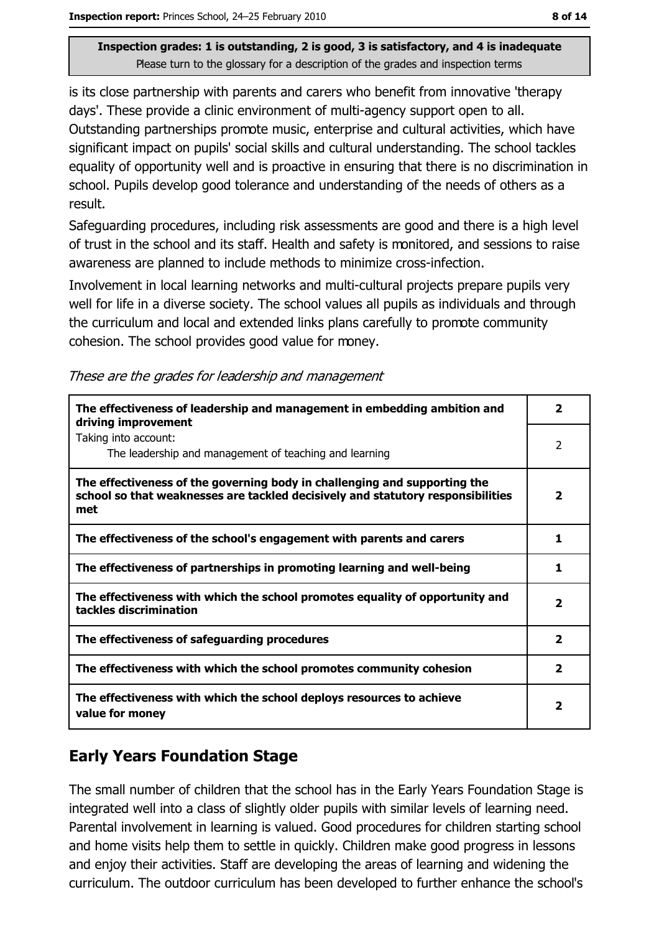is its close partnership with parents and carers who benefit from innovative 'therapy days'. These provide a clinic environment of multi-agency support open to all. Outstanding partnerships promote music, enterprise and cultural activities, which have significant impact on pupils' social skills and cultural understanding. The school tackles equality of opportunity well and is proactive in ensuring that there is no discrimination in school. Pupils develop good tolerance and understanding of the needs of others as a result.

Safeguarding procedures, including risk assessments are good and there is a high level of trust in the school and its staff. Health and safety is monitored, and sessions to raise awareness are planned to include methods to minimize cross-infection.

Involvement in local learning networks and multi-cultural projects prepare pupils very well for life in a diverse society. The school values all pupils as individuals and through the curriculum and local and extended links plans carefully to promote community cohesion. The school provides good value for money.

These are the grades for leadership and management

| The effectiveness of leadership and management in embedding ambition and<br>driving improvement                                                                     | $\overline{\mathbf{2}}$ |
|---------------------------------------------------------------------------------------------------------------------------------------------------------------------|-------------------------|
| Taking into account:<br>The leadership and management of teaching and learning                                                                                      | 2                       |
| The effectiveness of the governing body in challenging and supporting the<br>school so that weaknesses are tackled decisively and statutory responsibilities<br>met | $\overline{\mathbf{2}}$ |
| The effectiveness of the school's engagement with parents and carers                                                                                                | 1                       |
| The effectiveness of partnerships in promoting learning and well-being                                                                                              | 1                       |
| The effectiveness with which the school promotes equality of opportunity and<br>tackles discrimination                                                              | $\overline{\mathbf{2}}$ |
| The effectiveness of safeguarding procedures                                                                                                                        | $\overline{2}$          |
| The effectiveness with which the school promotes community cohesion                                                                                                 | $\overline{\mathbf{2}}$ |
| The effectiveness with which the school deploys resources to achieve<br>value for money                                                                             | 2                       |

## **Early Years Foundation Stage**

The small number of children that the school has in the Early Years Foundation Stage is integrated well into a class of slightly older pupils with similar levels of learning need. Parental involvement in learning is valued. Good procedures for children starting school and home visits help them to settle in quickly. Children make good progress in lessons and enjoy their activities. Staff are developing the areas of learning and widening the curriculum. The outdoor curriculum has been developed to further enhance the school's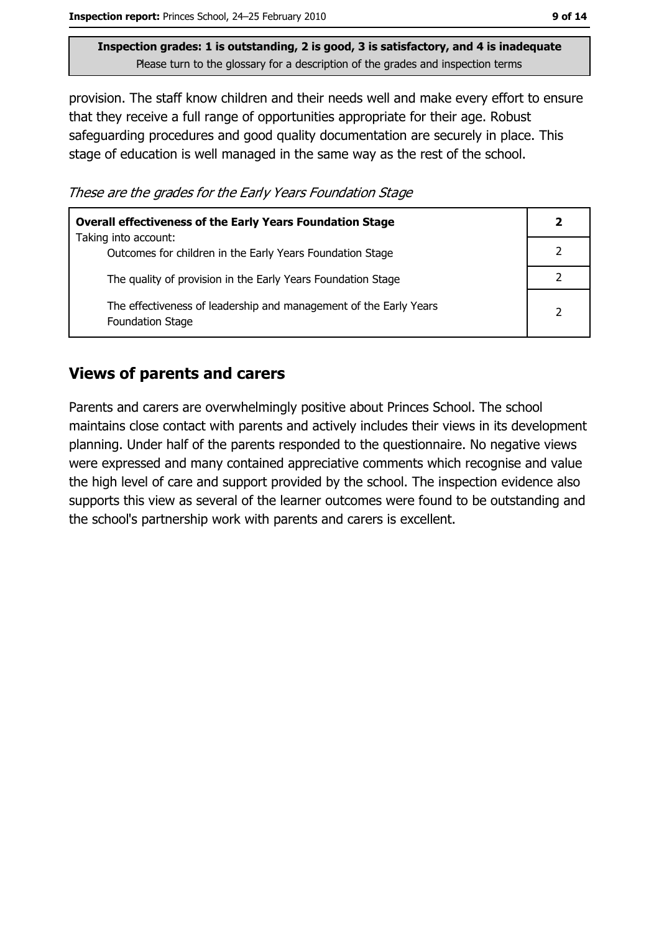provision. The staff know children and their needs well and make every effort to ensure that they receive a full range of opportunities appropriate for their age. Robust safeguarding procedures and good quality documentation are securely in place. This stage of education is well managed in the same way as the rest of the school.

These are the grades for the Early Years Foundation Stage

| <b>Overall effectiveness of the Early Years Foundation Stage</b><br>Taking into account:     | 2 |
|----------------------------------------------------------------------------------------------|---|
| Outcomes for children in the Early Years Foundation Stage                                    |   |
| The quality of provision in the Early Years Foundation Stage                                 |   |
| The effectiveness of leadership and management of the Early Years<br><b>Foundation Stage</b> | 2 |

### **Views of parents and carers**

Parents and carers are overwhelmingly positive about Princes School. The school maintains close contact with parents and actively includes their views in its development planning. Under half of the parents responded to the questionnaire. No negative views were expressed and many contained appreciative comments which recognise and value the high level of care and support provided by the school. The inspection evidence also supports this view as several of the learner outcomes were found to be outstanding and the school's partnership work with parents and carers is excellent.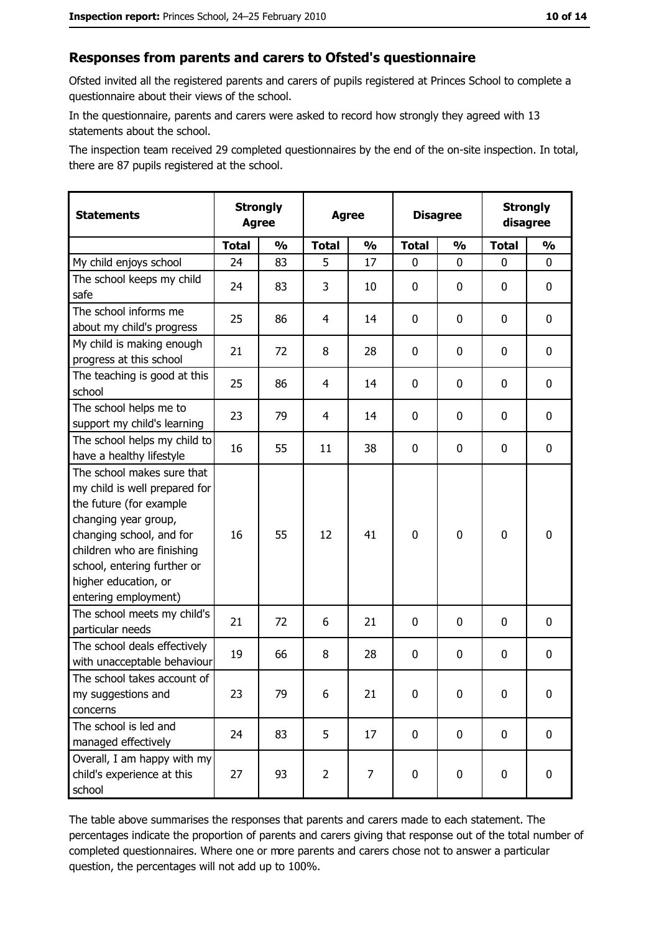#### Responses from parents and carers to Ofsted's questionnaire

Ofsted invited all the registered parents and carers of pupils registered at Princes School to complete a questionnaire about their views of the school.

In the questionnaire, parents and carers were asked to record how strongly they agreed with 13 statements about the school.

The inspection team received 29 completed questionnaires by the end of the on-site inspection. In total, there are 87 pupils registered at the school.

| <b>Statements</b>                                                                                                                                                                                                                                       | <b>Strongly</b><br><b>Agree</b> |               | <b>Agree</b>   |               | <b>Disagree</b> |               | <b>Strongly</b><br>disagree |               |
|---------------------------------------------------------------------------------------------------------------------------------------------------------------------------------------------------------------------------------------------------------|---------------------------------|---------------|----------------|---------------|-----------------|---------------|-----------------------------|---------------|
|                                                                                                                                                                                                                                                         | <b>Total</b>                    | $\frac{1}{2}$ | <b>Total</b>   | $\frac{1}{2}$ | <b>Total</b>    | $\frac{0}{0}$ | <b>Total</b>                | $\frac{1}{2}$ |
| My child enjoys school                                                                                                                                                                                                                                  | 24                              | 83            | 5              | 17            | 0               | 0             | $\Omega$                    | 0             |
| The school keeps my child<br>safe                                                                                                                                                                                                                       | 24                              | 83            | 3              | 10            | 0               | 0             | 0                           | 0             |
| The school informs me<br>about my child's progress                                                                                                                                                                                                      | 25                              | 86            | 4              | 14            | 0               | 0             | 0                           | $\mathbf 0$   |
| My child is making enough<br>progress at this school                                                                                                                                                                                                    | 21                              | 72            | 8              | 28            | 0               | 0             | 0                           | 0             |
| The teaching is good at this<br>school                                                                                                                                                                                                                  | 25                              | 86            | 4              | 14            | 0               | 0             | 0                           | 0             |
| The school helps me to<br>support my child's learning                                                                                                                                                                                                   | 23                              | 79            | 4              | 14            | 0               | 0             | 0                           | $\mathbf 0$   |
| The school helps my child to<br>have a healthy lifestyle                                                                                                                                                                                                | 16                              | 55            | 11             | 38            | $\mathbf 0$     | 0             | 0                           | 0             |
| The school makes sure that<br>my child is well prepared for<br>the future (for example<br>changing year group,<br>changing school, and for<br>children who are finishing<br>school, entering further or<br>higher education, or<br>entering employment) | 16                              | 55            | 12             | 41            | $\mathbf 0$     | 0             | $\mathbf 0$                 | 0             |
| The school meets my child's<br>particular needs                                                                                                                                                                                                         | 21                              | 72            | 6              | 21            | 0               | 0             | 0                           | 0             |
| The school deals effectively<br>with unacceptable behaviour                                                                                                                                                                                             | 19                              | 66            | 8              | 28            | $\mathbf 0$     | 0             | 0                           | $\mathbf 0$   |
| The school takes account of<br>my suggestions and<br>concerns                                                                                                                                                                                           | 23                              | 79            | 6              | 21            | $\mathbf 0$     | 0             | 0                           | 0             |
| The school is led and<br>managed effectively                                                                                                                                                                                                            | 24                              | 83            | 5              | 17            | 0               | 0             | $\bf{0}$                    | $\mathbf 0$   |
| Overall, I am happy with my<br>child's experience at this<br>school                                                                                                                                                                                     | 27                              | 93            | $\overline{2}$ | 7             | $\mathbf 0$     | 0             | $\mathbf 0$                 | $\mathbf 0$   |

The table above summarises the responses that parents and carers made to each statement. The percentages indicate the proportion of parents and carers giving that response out of the total number of completed questionnaires. Where one or more parents and carers chose not to answer a particular question, the percentages will not add up to 100%.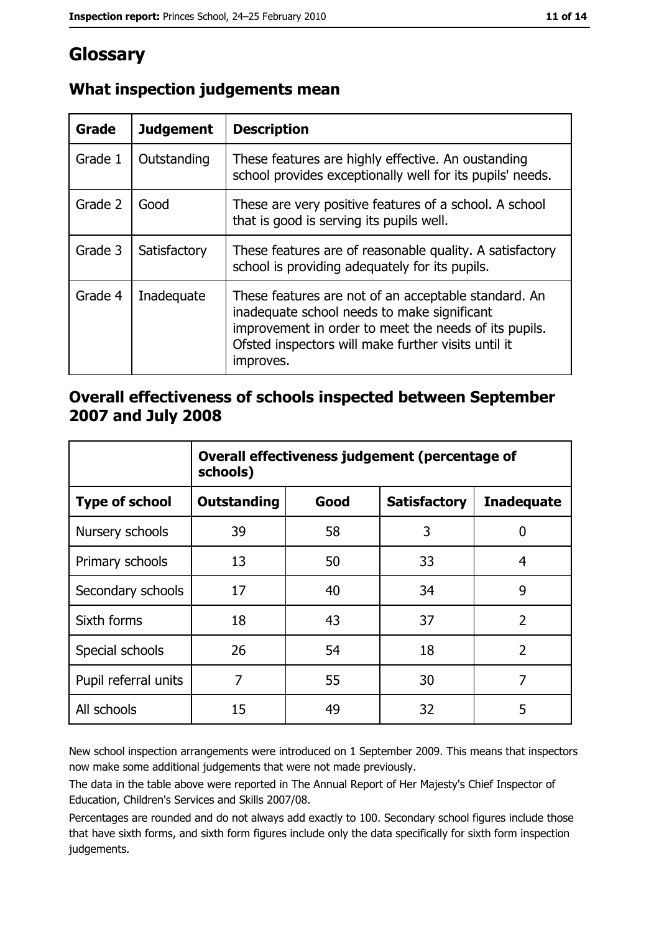## Glossary

| Grade   | <b>Judgement</b> | <b>Description</b>                                                                                                                                                                                                               |
|---------|------------------|----------------------------------------------------------------------------------------------------------------------------------------------------------------------------------------------------------------------------------|
| Grade 1 | Outstanding      | These features are highly effective. An oustanding<br>school provides exceptionally well for its pupils' needs.                                                                                                                  |
| Grade 2 | Good             | These are very positive features of a school. A school<br>that is good is serving its pupils well.                                                                                                                               |
| Grade 3 | Satisfactory     | These features are of reasonable quality. A satisfactory<br>school is providing adequately for its pupils.                                                                                                                       |
| Grade 4 | Inadequate       | These features are not of an acceptable standard. An<br>inadequate school needs to make significant<br>improvement in order to meet the needs of its pupils.<br>Ofsted inspectors will make further visits until it<br>improves. |

## What inspection judgements mean

#### Overall effectiveness of schools inspected between September 2007 and July 2008

|                       | Overall effectiveness judgement (percentage of<br>schools) |      |                     |                   |
|-----------------------|------------------------------------------------------------|------|---------------------|-------------------|
| <b>Type of school</b> | <b>Outstanding</b>                                         | Good | <b>Satisfactory</b> | <b>Inadequate</b> |
| Nursery schools       | 39                                                         | 58   | 3                   | 0                 |
| Primary schools       | 13                                                         | 50   | 33                  | 4                 |
| Secondary schools     | 17                                                         | 40   | 34                  | 9                 |
| Sixth forms           | 18                                                         | 43   | 37                  | $\overline{2}$    |
| Special schools       | 26                                                         | 54   | 18                  | $\overline{2}$    |
| Pupil referral units  | 7                                                          | 55   | 30                  | 7                 |
| All schools           | 15                                                         | 49   | 32                  | 5                 |

New school inspection arrangements were introduced on 1 September 2009. This means that inspectors now make some additional judgements that were not made previously.

The data in the table above were reported in The Annual Report of Her Majesty's Chief Inspector of Education, Children's Services and Skills 2007/08.

Percentages are rounded and do not always add exactly to 100. Secondary school figures include those that have sixth forms, and sixth form figures include only the data specifically for sixth form inspection judgements.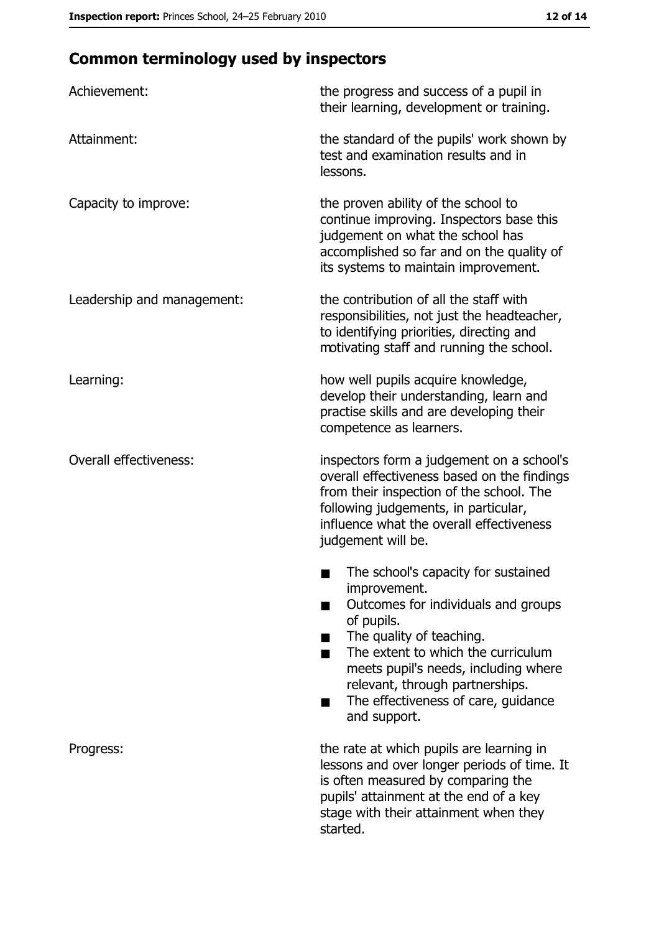# **Common terminology used by inspectors**

| Achievement:                  | the progress and success of a pupil in<br>their learning, development or training.                                                                                                                                                                                                                                |
|-------------------------------|-------------------------------------------------------------------------------------------------------------------------------------------------------------------------------------------------------------------------------------------------------------------------------------------------------------------|
| Attainment:                   | the standard of the pupils' work shown by<br>test and examination results and in<br>lessons.                                                                                                                                                                                                                      |
| Capacity to improve:          | the proven ability of the school to<br>continue improving. Inspectors base this<br>judgement on what the school has<br>accomplished so far and on the quality of<br>its systems to maintain improvement.                                                                                                          |
| Leadership and management:    | the contribution of all the staff with<br>responsibilities, not just the headteacher,<br>to identifying priorities, directing and<br>motivating staff and running the school.                                                                                                                                     |
| Learning:                     | how well pupils acquire knowledge,<br>develop their understanding, learn and<br>practise skills and are developing their<br>competence as learners.                                                                                                                                                               |
| <b>Overall effectiveness:</b> | inspectors form a judgement on a school's<br>overall effectiveness based on the findings<br>from their inspection of the school. The<br>following judgements, in particular,<br>influence what the overall effectiveness<br>judgement will be.                                                                    |
|                               | The school's capacity for sustained<br>improvement.<br>Outcomes for individuals and groups<br>of pupils.<br>The quality of teaching.<br>The extent to which the curriculum<br>meets pupil's needs, including where<br>relevant, through partnerships.<br>The effectiveness of care, guidance<br>▄<br>and support. |
| Progress:                     | the rate at which pupils are learning in<br>lessons and over longer periods of time. It<br>is often measured by comparing the<br>pupils' attainment at the end of a key<br>stage with their attainment when they<br>started.                                                                                      |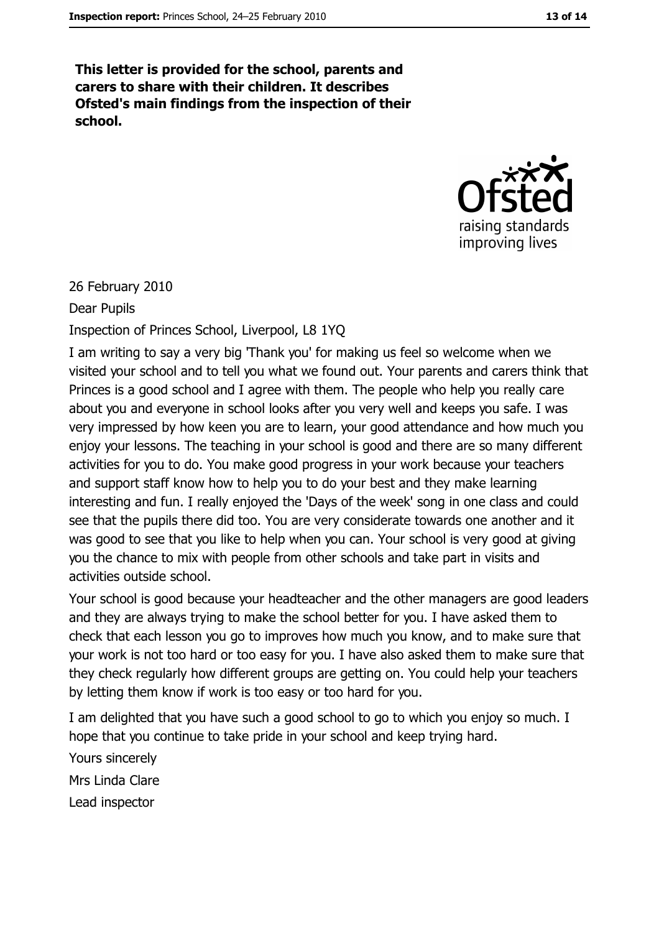This letter is provided for the school, parents and carers to share with their children. It describes Ofsted's main findings from the inspection of their school.



26 February 2010

Dear Pupils

Inspection of Princes School, Liverpool, L8 1YQ

I am writing to say a very big 'Thank you' for making us feel so welcome when we visited your school and to tell you what we found out. Your parents and carers think that Princes is a good school and I agree with them. The people who help you really care about you and everyone in school looks after you very well and keeps you safe. I was very impressed by how keen you are to learn, your good attendance and how much you enjoy your lessons. The teaching in your school is good and there are so many different activities for you to do. You make good progress in your work because your teachers and support staff know how to help you to do your best and they make learning interesting and fun. I really enjoyed the 'Days of the week' song in one class and could see that the pupils there did too. You are very considerate towards one another and it was good to see that you like to help when you can. Your school is very good at giving you the chance to mix with people from other schools and take part in visits and activities outside school.

Your school is good because your headteacher and the other managers are good leaders and they are always trying to make the school better for you. I have asked them to check that each lesson you go to improves how much you know, and to make sure that your work is not too hard or too easy for you. I have also asked them to make sure that they check regularly how different groups are getting on. You could help your teachers by letting them know if work is too easy or too hard for you.

I am delighted that you have such a good school to go to which you enjoy so much. I hope that you continue to take pride in your school and keep trying hard. Yours sincerely Mrs Linda Clare Lead inspector